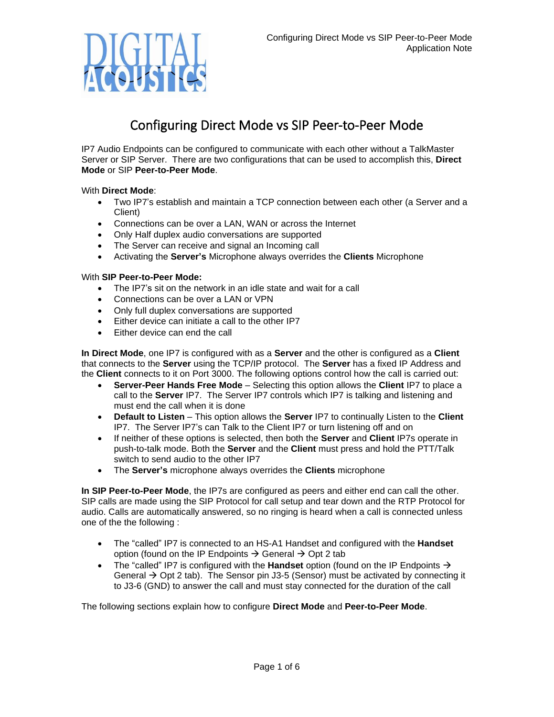

# Configuring Direct Mode vs SIP Peer-to-Peer Mode

IP7 Audio Endpoints can be configured to communicate with each other without a TalkMaster Server or SIP Server. There are two configurations that can be used to accomplish this, **Direct Mode** or SIP **Peer-to-Peer Mode**.

## With **Direct Mode**:

- Two IP7's establish and maintain a TCP connection between each other (a Server and a Client)
- Connections can be over a LAN, WAN or across the Internet
- Only Half duplex audio conversations are supported
- The Server can receive and signal an Incoming call
- Activating the **Server's** Microphone always overrides the **Clients** Microphone

## With **SIP Peer-to-Peer Mode:**

- The IP7's sit on the network in an idle state and wait for a call
- Connections can be over a LAN or VPN
- Only full duplex conversations are supported
- Either device can initiate a call to the other IP7
- Either device can end the call

**In Direct Mode**, one IP7 is configured with as a **Server** and the other is configured as a **Client** that connects to the **Server** using the TCP/IP protocol. The **Server** has a fixed IP Address and the **Client** connects to it on Port 3000. The following options control how the call is carried out:

- **Server-Peer Hands Free Mode**  Selecting this option allows the **Client** IP7 to place a call to the **Server** IP7. The Server IP7 controls which IP7 is talking and listening and must end the call when it is done
- **Default to Listen** This option allows the **Server** IP7 to continually Listen to the **Client** IP7. The Server IP7's can Talk to the Client IP7 or turn listening off and on
- If neither of these options is selected, then both the **Server** and **Client** IP7s operate in push-to-talk mode. Both the **Server** and the **Client** must press and hold the PTT/Talk switch to send audio to the other IP7
- The **Server's** microphone always overrides the **Clients** microphone

**In SIP Peer-to-Peer Mode**, the IP7s are configured as peers and either end can call the other. SIP calls are made using the SIP Protocol for call setup and tear down and the RTP Protocol for audio. Calls are automatically answered, so no ringing is heard when a call is connected unless one of the the following :

- The "called" IP7 is connected to an HS-A1 Handset and configured with the **Handset** option (found on the IP Endpoints  $\rightarrow$  General  $\rightarrow$  Opt 2 tab
- The "called" IP7 is configured with the **Handset** option (found on the IP Endpoints → General  $\rightarrow$  Opt 2 tab). The Sensor pin J3-5 (Sensor) must be activated by connecting it to J3-6 (GND) to answer the call and must stay connected for the duration of the call

The following sections explain how to configure **Direct Mode** and **Peer-to-Peer Mode**.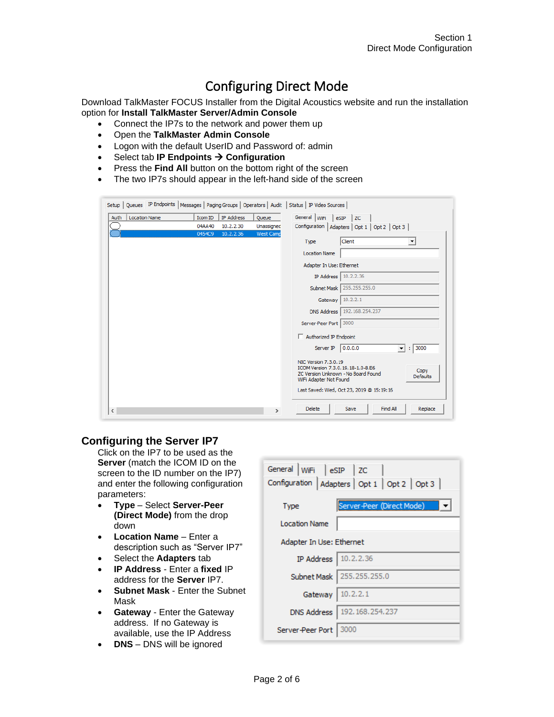# Configuring Direct Mode

Download TalkMaster FOCUS Installer from the Digital Acoustics website and run the installation option for **Install TalkMaster Server/Admin Console**

- Connect the IP7s to the network and power them up
- Open the **TalkMaster Admin Console**
- Logon with the default UserID and Password of: admin
- Select tab **IP Endpoints** → **Configuration**
- Press the **Find All** button on the bottom right of the screen
- The two IP7s should appear in the left-hand side of the screen

| Setup   Queues IP Endpoints   Messages   Paging Groups   Operators   Audit   Status   IP Video Sources |                                                     |                     |                                                                                                                                                       |                                                  |
|--------------------------------------------------------------------------------------------------------|-----------------------------------------------------|---------------------|-------------------------------------------------------------------------------------------------------------------------------------------------------|--------------------------------------------------|
| Auth<br><b>Location Name</b>                                                                           | <b>IP Address</b><br>Icom ID<br>04AA40<br>10.2.2.30 | Queue<br>Unassigned | General WiFi eSIP ZC                                                                                                                                  | Configuration   Adapters   Opt 1   Opt 2   Opt 3 |
|                                                                                                        | 10.2.2.36<br>0454C9                                 | West Camp           | Type                                                                                                                                                  | Client<br>▼                                      |
|                                                                                                        |                                                     |                     | <b>Location Name</b><br>Adapter In Use: Ethernet                                                                                                      |                                                  |
|                                                                                                        |                                                     |                     | IP Address                                                                                                                                            | 10.2.2.36<br>Subnet Mask   255.255.255.0         |
|                                                                                                        |                                                     |                     | Gateway<br><b>DNS Address</b>                                                                                                                         | 10.2.2.1<br>192.168.254.237                      |
|                                                                                                        |                                                     |                     | Server-Peer Port 3000                                                                                                                                 |                                                  |
|                                                                                                        |                                                     |                     | Authorized IP Endpoint                                                                                                                                |                                                  |
|                                                                                                        |                                                     |                     | Server IP                                                                                                                                             | 0.0.0.0 <br>3000<br>$\mathbf{v}$ :               |
|                                                                                                        |                                                     |                     | NIC Version 7.3.0.19<br>ICOM Version 7.3.0.19.18-1.0-8.E6<br>Copy<br>ZC Version Unknown - No Board Found<br><b>Defaults</b><br>WiFi Adapter Not Found |                                                  |
|                                                                                                        |                                                     |                     |                                                                                                                                                       | Last Saved: Wed, Oct 23, 2019 @ 15:19:16         |
| $\leq$                                                                                                 |                                                     | $\rightarrow$       | <b>Delete</b>                                                                                                                                         | Find All<br>Replace<br>Save                      |

# **Configuring the Server IP7**

Click on the IP7 to be used as the **Server** (match the ICOM ID on the screen to the ID number on the IP7) and enter the following configuration parameters:

- **Type** Select **Server-Peer (Direct Mode)** from the drop down
- **Location Name** Enter a description such as "Server IP7"
- Select the **Adapters** tab
- **IP Address** Enter a **fixed** IP address for the **Server** IP7.
- **Subnet Mask** Enter the Subnet Mask
- **Gateway** Enter the Gateway address. If no Gateway is available, use the IP Address
- **DNS** DNS will be ignored

| General WiFi eSIP ZC<br>Configuration   Adapters   Opt 1   Opt 2   Opt 3 |                                |  |  |  |
|--------------------------------------------------------------------------|--------------------------------|--|--|--|
| <b>Type</b>                                                              | Server-Peer (Direct Mode)      |  |  |  |
| <b>Location Name</b>                                                     |                                |  |  |  |
| Adapter In Use: Ethernet                                                 |                                |  |  |  |
| IP Address   10.2.2.36                                                   |                                |  |  |  |
|                                                                          | Subnet Mask   255, 255, 255, 0 |  |  |  |
| Gateway 10.2.2.1                                                         |                                |  |  |  |
|                                                                          | DNS Address   192.168.254.237  |  |  |  |
| Server-Peer Port                                                         | 13000                          |  |  |  |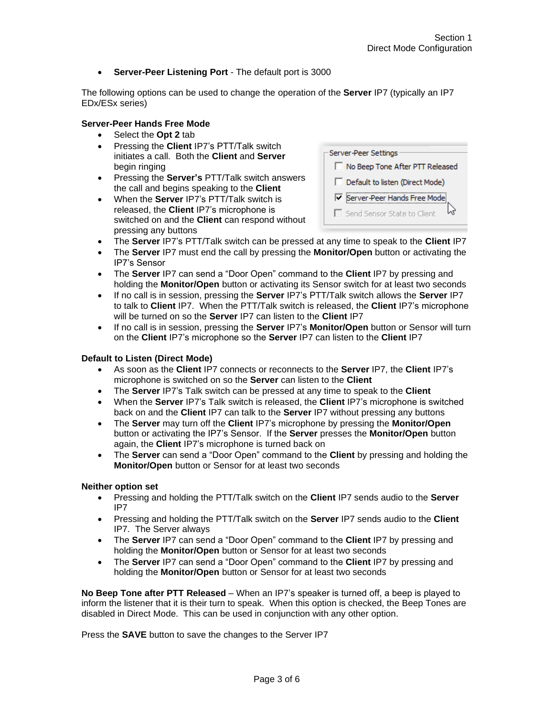• **Server-Peer Listening Port** - The default port is 3000

The following options can be used to change the operation of the **Server** IP7 (typically an IP7 EDx/ESx series)

### **Server-Peer Hands Free Mode**

- Select the **Opt 2** tab
- Pressing the **Client** IP7's PTT/Talk switch initiates a call. Both the **Client** and **Server** begin ringing
- Pressing the **Server's** PTT/Talk switch answers the call and begins speaking to the **Client**
- When the **Server** IP7's PTT/Talk switch is released, the **Client** IP7's microphone is switched on and the **Client** can respond without pressing any buttons

| Server-Peer Settings            |
|---------------------------------|
| No Beep Tone After PTT Released |
| Default to listen (Direct Mode) |
| Ⅳ Server-Peer Hands Free Mode   |
| Send Sensor State to Client     |

- The **Server** IP7's PTT/Talk switch can be pressed at any time to speak to the **Client** IP7
- The **Server** IP7 must end the call by pressing the **Monitor/Open** button or activating the IP7's Sensor
- The **Server** IP7 can send a "Door Open" command to the **Client** IP7 by pressing and holding the **Monitor/Open** button or activating its Sensor switch for at least two seconds
- If no call is in session, pressing the **Server** IP7's PTT/Talk switch allows the **Server** IP7 to talk to **Client** IP7. When the PTT/Talk switch is released, the **Client** IP7's microphone will be turned on so the **Server** IP7 can listen to the **Client** IP7
- If no call is in session, pressing the **Server** IP7's **Monitor/Open** button or Sensor will turn on the **Client** IP7's microphone so the **Server** IP7 can listen to the **Client** IP7

### **Default to Listen (Direct Mode)**

- As soon as the **Client** IP7 connects or reconnects to the **Server** IP7, the **Client** IP7's microphone is switched on so the **Server** can listen to the **Client**
- The **Server** IP7's Talk switch can be pressed at any time to speak to the **Client**
- When the **Server** IP7's Talk switch is released, the **Client** IP7's microphone is switched back on and the **Client** IP7 can talk to the **Server** IP7 without pressing any buttons
- The **Server** may turn off the **Client** IP7's microphone by pressing the **Monitor/Open** button or activating the IP7's Sensor. If the **Server** presses the **Monitor/Open** button again, the **Client** IP7's microphone is turned back on
- The **Server** can send a "Door Open" command to the **Client** by pressing and holding the **Monitor/Open** button or Sensor for at least two seconds

#### **Neither option set**

- Pressing and holding the PTT/Talk switch on the **Client** IP7 sends audio to the **Server** IP7
- Pressing and holding the PTT/Talk switch on the **Server** IP7 sends audio to the **Client** IP7. The Server always
- The **Server** IP7 can send a "Door Open" command to the **Client** IP7 by pressing and holding the **Monitor/Open** button or Sensor for at least two seconds
- The **Server** IP7 can send a "Door Open" command to the **Client** IP7 by pressing and holding the **Monitor/Open** button or Sensor for at least two seconds

**No Beep Tone after PTT Released** – When an IP7's speaker is turned off, a beep is played to inform the listener that it is their turn to speak. When this option is checked, the Beep Tones are disabled in Direct Mode. This can be used in conjunction with any other option.

Press the **SAVE** button to save the changes to the Server IP7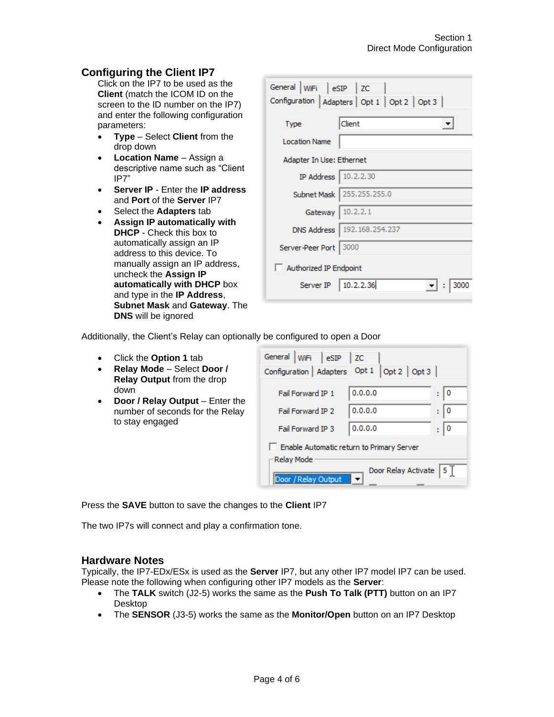# **Configuring the Client IP7**

Click on the IP7 to be used as the **Client** (match the ICOM ID on the screen to the ID number on the IP7) and enter the following configuration parameters:

- **Type** Select **Client** from the drop down
- **Location Name** Assign a descriptive name such as "Client IP7"
- **Server IP** Enter the **IP address** and **Port** of the **Server** IP7
- Select the **Adapters** tab
- **Assign IP automatically with DHCP** - Check this box to automatically assign an IP address to this device. To manually assign an IP address, uncheck the **Assign IP automatically with DHCP** box and type in the **IP Address**, **Subnet Mask** and **Gateway**. The **DNS** will be ignored

| General WiFi eSIP ZC<br>Configuration   Adapters   Opt 1   Opt 2   Opt 3 |                               |  |  |  |
|--------------------------------------------------------------------------|-------------------------------|--|--|--|
| <b>Type</b>                                                              | Client                        |  |  |  |
| <b>Location Name</b>                                                     |                               |  |  |  |
| Adapter In Use: Ethernet                                                 |                               |  |  |  |
| IP Address   10.2.2.30                                                   |                               |  |  |  |
|                                                                          | Subnet Mask   255.255.255.0   |  |  |  |
| Gateway 10.2.2.1                                                         |                               |  |  |  |
|                                                                          | DNS Address   192.168.254.237 |  |  |  |
| Server-Peer Port 3000                                                    |                               |  |  |  |
| Authorized IP Endpoint                                                   |                               |  |  |  |
| Server IP   10.2.2.36                                                    |                               |  |  |  |

Additionally, the Client's Relay can optionally be configured to open a Door

- Click the **Option 1** tab
- **Relay Mode** Select **Door / Relay Output** from the drop down
- **Door / Relay Output** Enter the number of seconds for the Relay to stay engaged

| General WiFi eSIP                                       | $ $ ZC  |        |  |  |
|---------------------------------------------------------|---------|--------|--|--|
| Fail Forward IP 1                                       | 0.0.0.0 | ٥<br>÷ |  |  |
| Fail Forward IP 2                                       | 0.0.0.0 | 0<br>÷ |  |  |
| <b>Fail Forward IP 3</b>                                | 0.0.0.0 | ÷      |  |  |
| Enable Automatic return to Primary Server<br>Relay Mode |         |        |  |  |
| 15 T<br>Door Relay Activate<br>Door / Relay Output      |         |        |  |  |

Press the **SAVE** button to save the changes to the **Client** IP7

The two IP7s will connect and play a confirmation tone.

# **Hardware Notes**

Typically, the IP7-EDx/ESx is used as the **Server** IP7, but any other IP7 model IP7 can be used. Please note the following when configuring other IP7 models as the **Server**:

- The **TALK** switch (J2-5) works the same as the **Push To Talk (PTT)** button on an IP7 Desktop
- The **SENSOR** (J3-5) works the same as the **Monitor/Open** button on an IP7 Desktop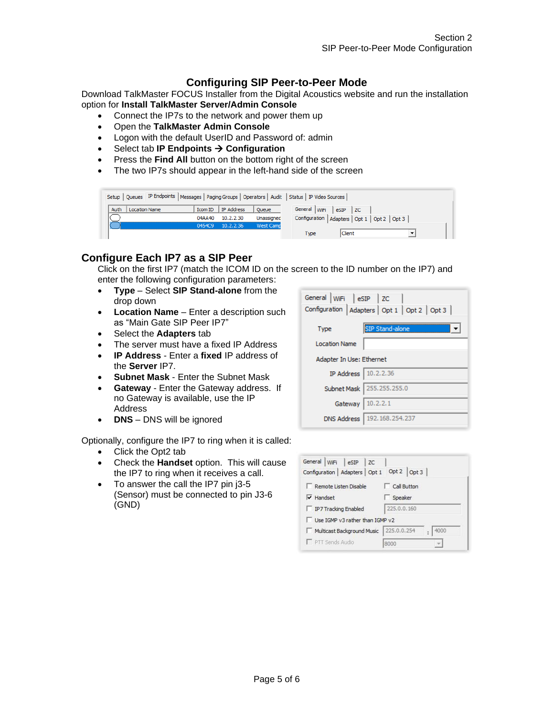# **Configuring SIP Peer-to-Peer Mode**

Download TalkMaster FOCUS Installer from the Digital Acoustics website and run the installation option for **Install TalkMaster Server/Admin Console**

- Connect the IP7s to the network and power them up
- Open the **TalkMaster Admin Console**
- Logon with the default UserID and Password of: admin
- Select tab **IP Endpoints** → **Configuration**
- Press the **Find All** button on the bottom right of the screen
- The two IP7s should appear in the left-hand side of the screen

| Setup   Queues IP Endpoints   Messages   Paging Groups   Operators   Audit   Status   IP Video Sources |                      |                  |                      |                                                    |  |
|--------------------------------------------------------------------------------------------------------|----------------------|------------------|----------------------|----------------------------------------------------|--|
| Auth<br><b>Location Name</b>                                                                           | Icom ID   IP Address | Queue            | General WiFi eSIP ZC |                                                    |  |
|                                                                                                        | 10.2.2.30<br>04AA40  | Unassigned       |                      | Configuration   Adapters   Opt 1   Opt 2   Opt 3 / |  |
|                                                                                                        | 10.2.2.36<br>0454C9  | <b>West Camp</b> |                      |                                                    |  |
|                                                                                                        |                      |                  | Type                 | Client                                             |  |

# **Configure Each IP7 as a SIP Peer**

Click on the first IP7 (match the ICOM ID on the screen to the ID number on the IP7) and enter the following configuration parameters:

- **Type** Select **SIP Stand-alone** from the drop down
- **Location Name** Enter a description such as "Main Gate SIP Peer IP7"
- Select the **Adapters** tab
- The server must have a fixed IP Address
- **IP Address** Enter a **fixed** IP address of the **Server** IP7.
- **Subnet Mask** Enter the Subnet Mask
- **Gateway** Enter the Gateway address. If no Gateway is available, use the IP Address
- **DNS** DNS will be ignored

Optionally, configure the IP7 to ring when it is called:

- Click the Opt2 tab
- Check the **Handset** option. This will cause the IP7 to ring when it receives a call.
- To answer the call the IP7 pin j3-5 (Sensor) must be connected to pin J3-6 (GND)

| General WiFi eSIP ZC<br>Configuration   Adapters   Opt 1   Opt 2   Opt 3 |                               |  |  |  |
|--------------------------------------------------------------------------|-------------------------------|--|--|--|
| Type                                                                     | SIP Stand-alone               |  |  |  |
| <b>Location Name</b>                                                     |                               |  |  |  |
| Adapter In Use: Ethernet                                                 |                               |  |  |  |
| IP Address   10.2.2.36                                                   |                               |  |  |  |
|                                                                          | Subnet Mask   255.255.255.0   |  |  |  |
|                                                                          | Gateway   10.2.2.1            |  |  |  |
|                                                                          | DNS Address   192.168.254.237 |  |  |  |

| General WiFi eSIP<br>$ $ zc      |                                |  |  |
|----------------------------------|--------------------------------|--|--|
| Configuration   Adapters   Opt 1 | Opt 2 $\left $ Opt 3 $\right $ |  |  |
| Remote Listen Disable            | Call Button                    |  |  |
| $\overline{\mathsf{v}}$ Handset  | Speaker                        |  |  |
| IP7 Tracking Enabled             | 225.0.0.160                    |  |  |
| Use IGMP v3 rather than IGMP v2  |                                |  |  |
| Multicast Background Music       | 225.0.0.254<br>4000            |  |  |
| PTT Sends Audio                  | 8000                           |  |  |